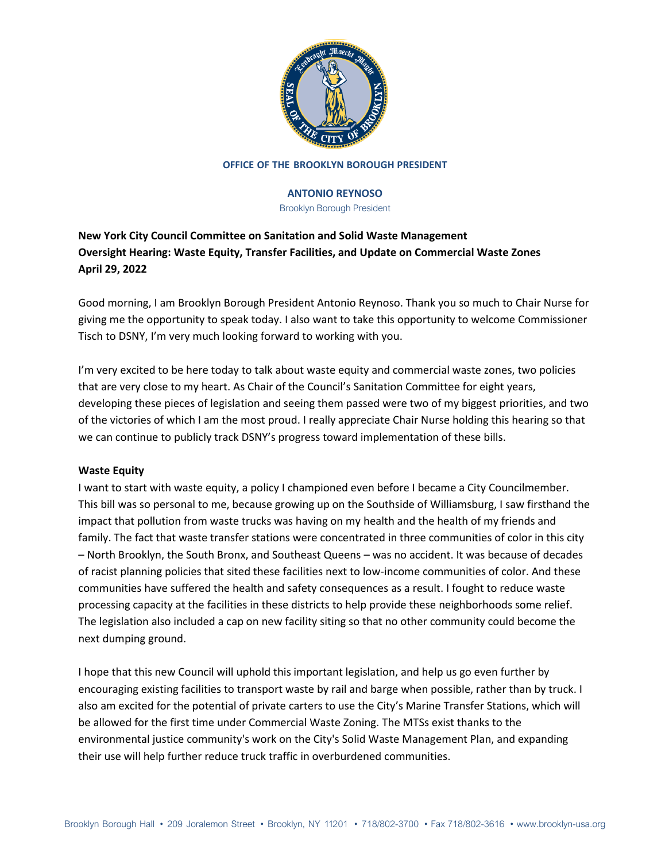

## **OFFICE OF THE BROOKLYN BOROUGH PRESIDENT**

## **ANTONIO REYNOSO**

Brooklyn Borough President

# **New York City Council Committee on Sanitation and Solid Waste Management Oversight Hearing: Waste Equity, Transfer Facilities, and Update on Commercial Waste Zones April 29, 2022**

Good morning, I am Brooklyn Borough President Antonio Reynoso. Thank you so much to Chair Nurse for giving me the opportunity to speak today. I also want to take this opportunity to welcome Commissioner Tisch to DSNY, I'm very much looking forward to working with you.

I'm very excited to be here today to talk about waste equity and commercial waste zones, two policies that are very close to my heart. As Chair of the Council's Sanitation Committee for eight years, developing these pieces of legislation and seeing them passed were two of my biggest priorities, and two of the victories of which I am the most proud. I really appreciate Chair Nurse holding this hearing so that we can continue to publicly track DSNY's progress toward implementation of these bills.

# **Waste Equity**

I want to start with waste equity, a policy I championed even before I became a City Councilmember. This bill was so personal to me, because growing up on the Southside of Williamsburg, I saw firsthand the impact that pollution from waste trucks was having on my health and the health of my friends and family. The fact that waste transfer stations were concentrated in three communities of color in this city – North Brooklyn, the South Bronx, and Southeast Queens – was no accident. It was because of decades of racist planning policies that sited these facilities next to low-income communities of color. And these communities have suffered the health and safety consequences as a result. I fought to reduce waste processing capacity at the facilities in these districts to help provide these neighborhoods some relief. The legislation also included a cap on new facility siting so that no other community could become the next dumping ground.

I hope that this new Council will uphold this important legislation, and help us go even further by encouraging existing facilities to transport waste by rail and barge when possible, rather than by truck. I also am excited for the potential of private carters to use the City's Marine Transfer Stations, which will be allowed for the first time under Commercial Waste Zoning. The MTSs exist thanks to the environmental justice community's work on the City's Solid Waste Management Plan, and expanding their use will help further reduce truck traffic in overburdened communities.